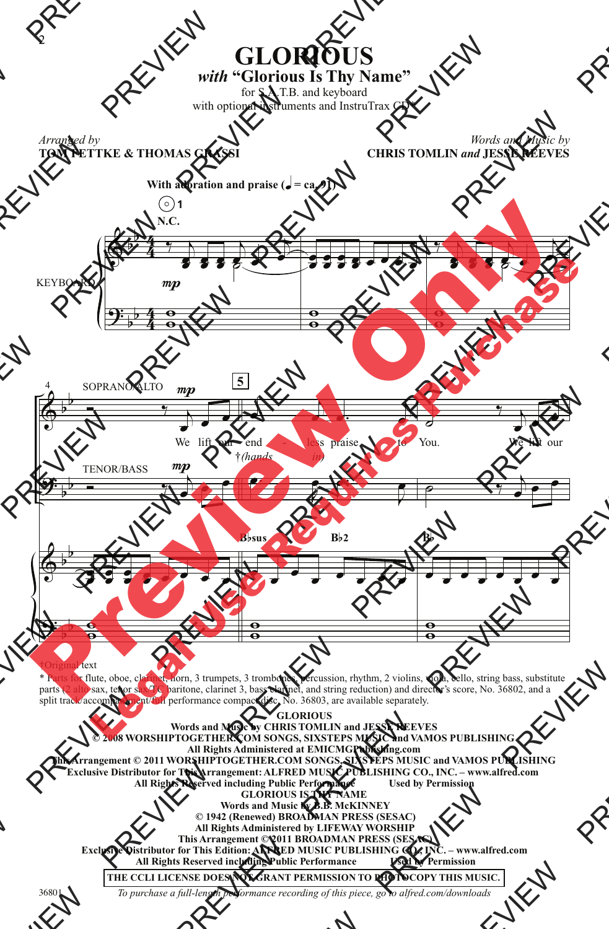**GLORIOUS**

*with* **"Glorious Is Thy Name"**

for S.A.T.B. and keyboard with optional instruments and InstruTrax CD\*

## *Arranged by*  **TOM FETTKE & THOMAS GRASSI**

## *Words and Music by*  **CHRIS TOMLIN** *and* **JESSE REEVES**

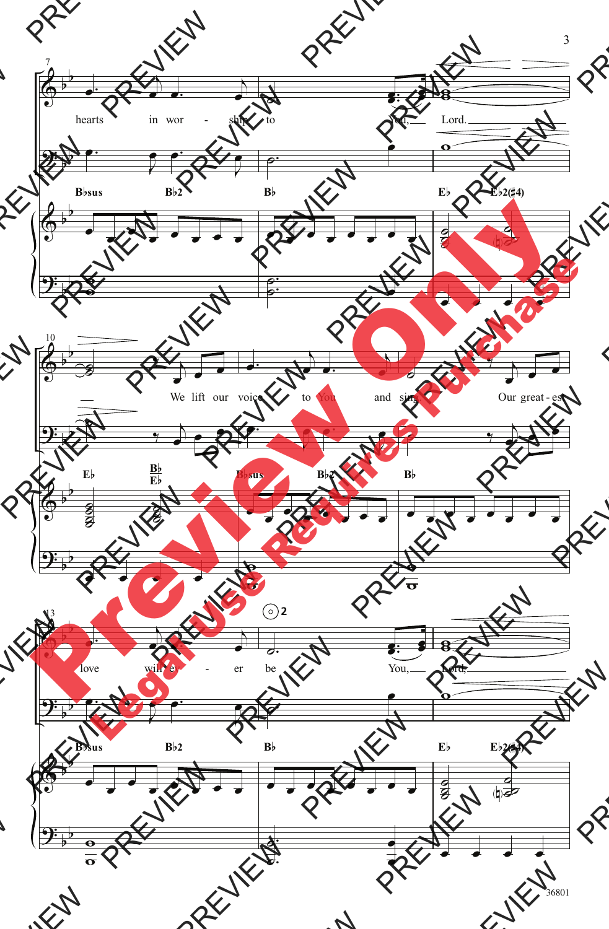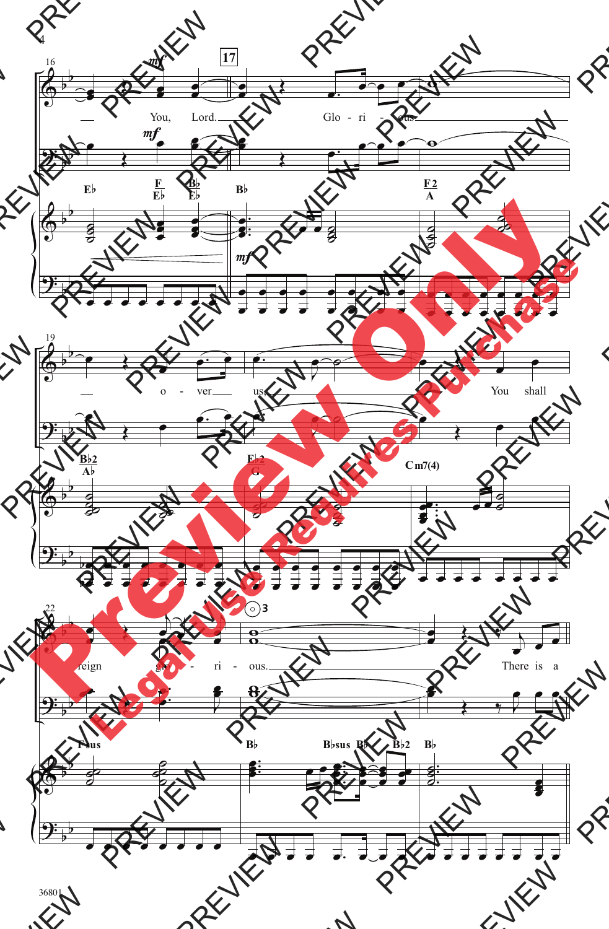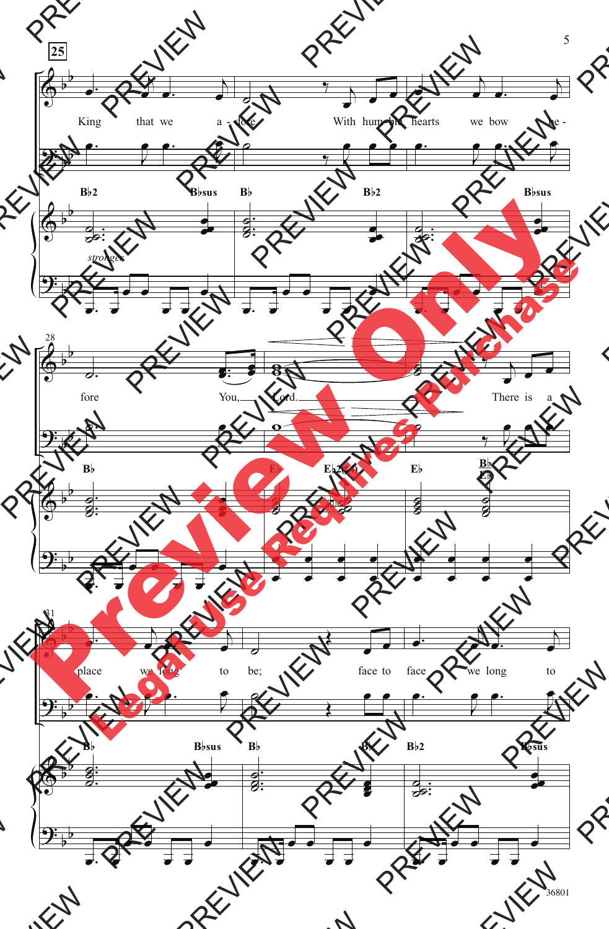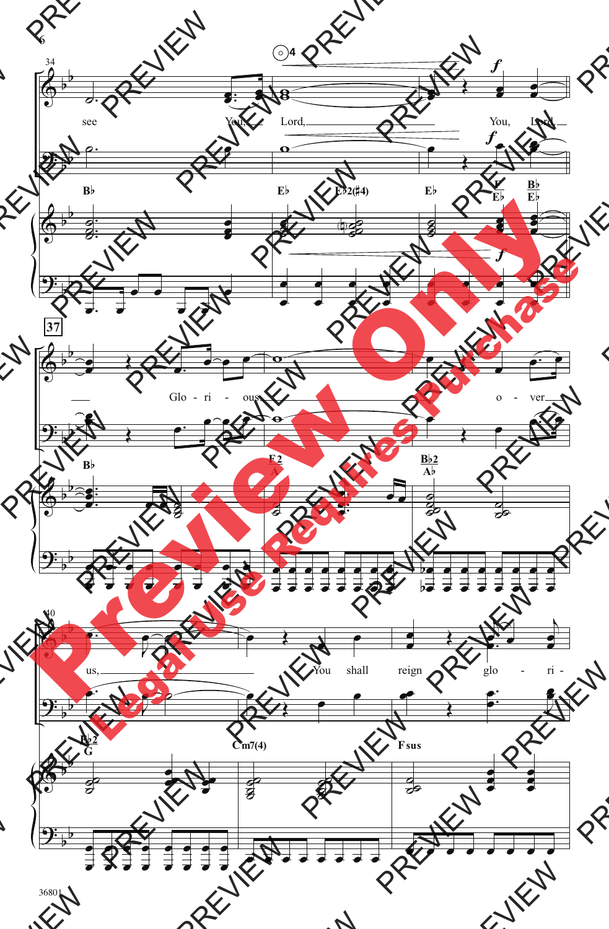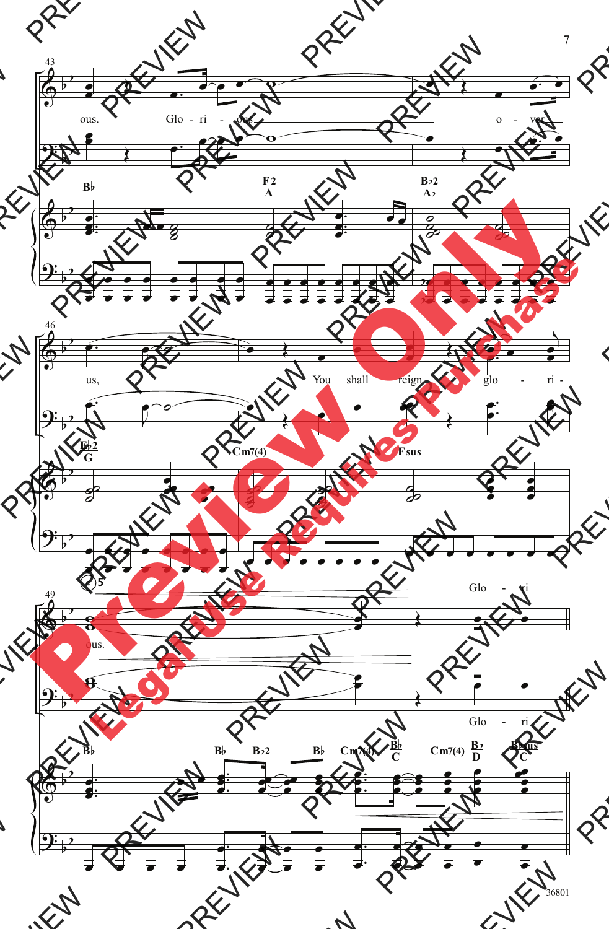

 $\overline{7}$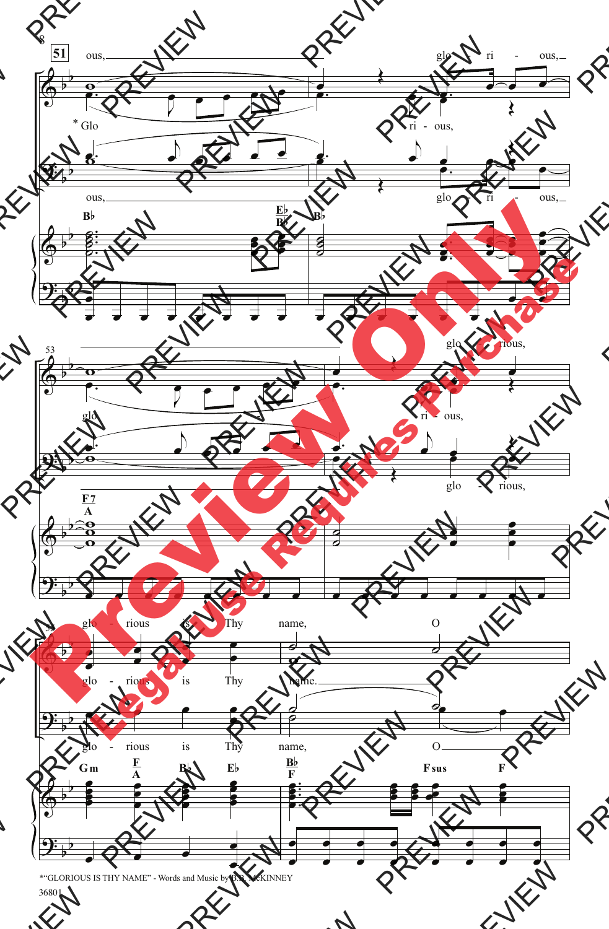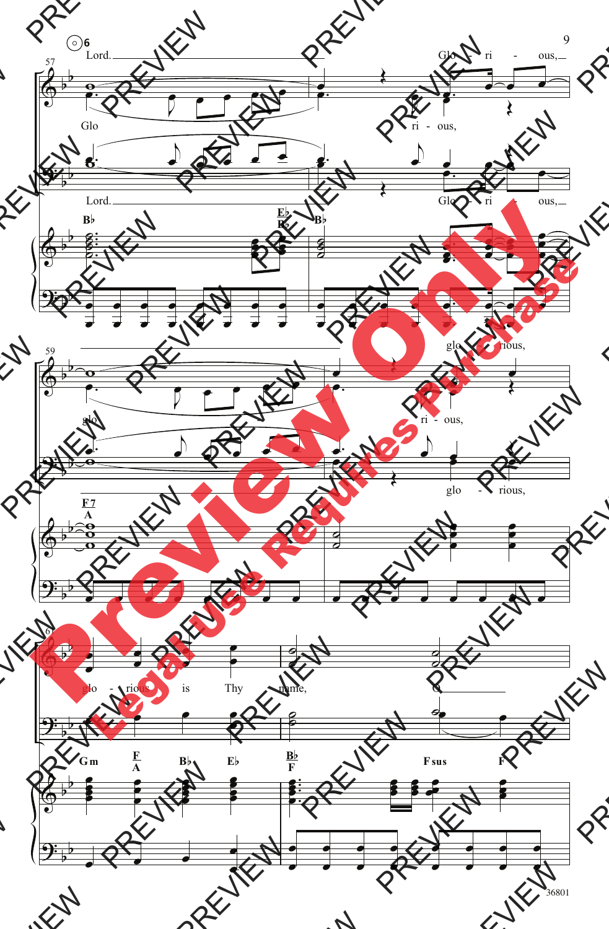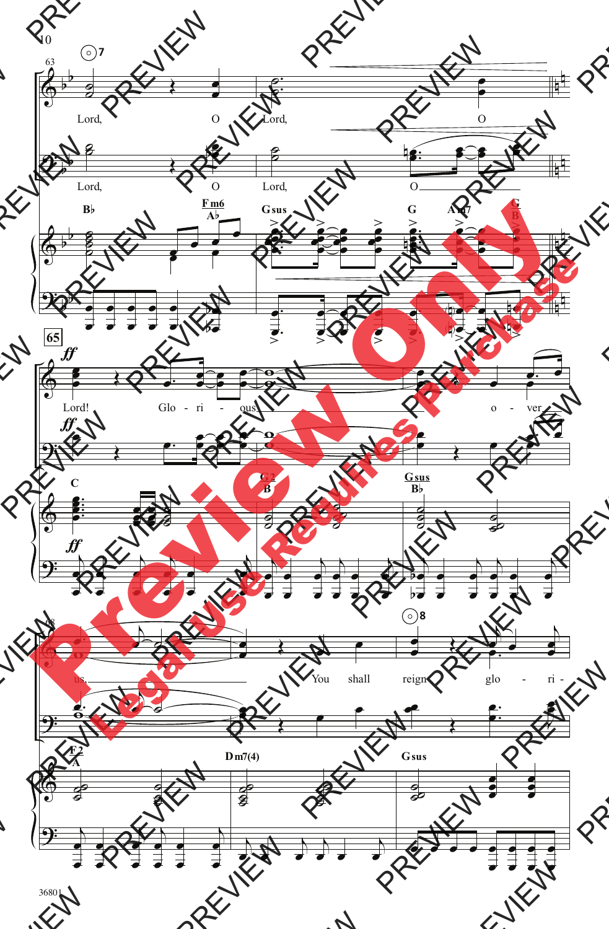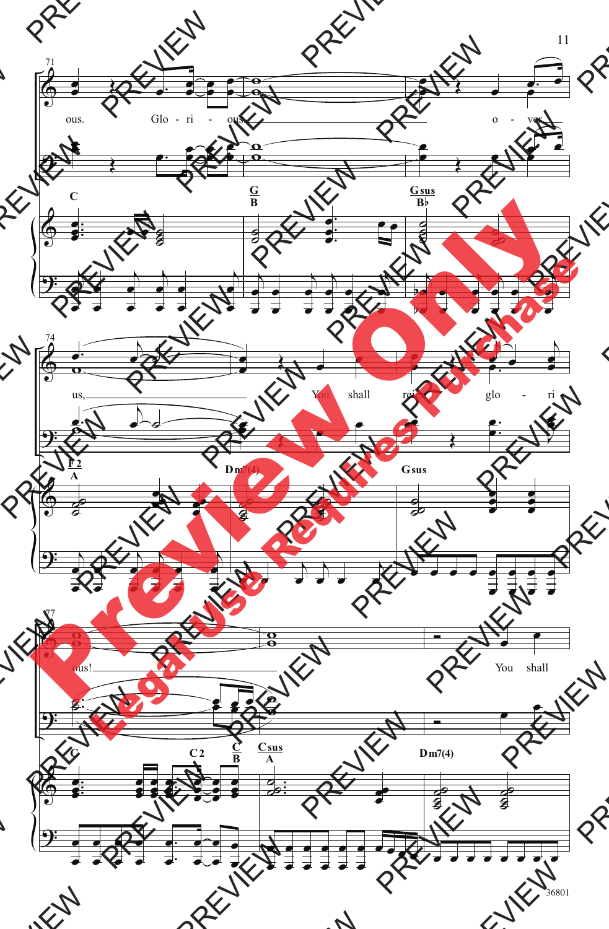